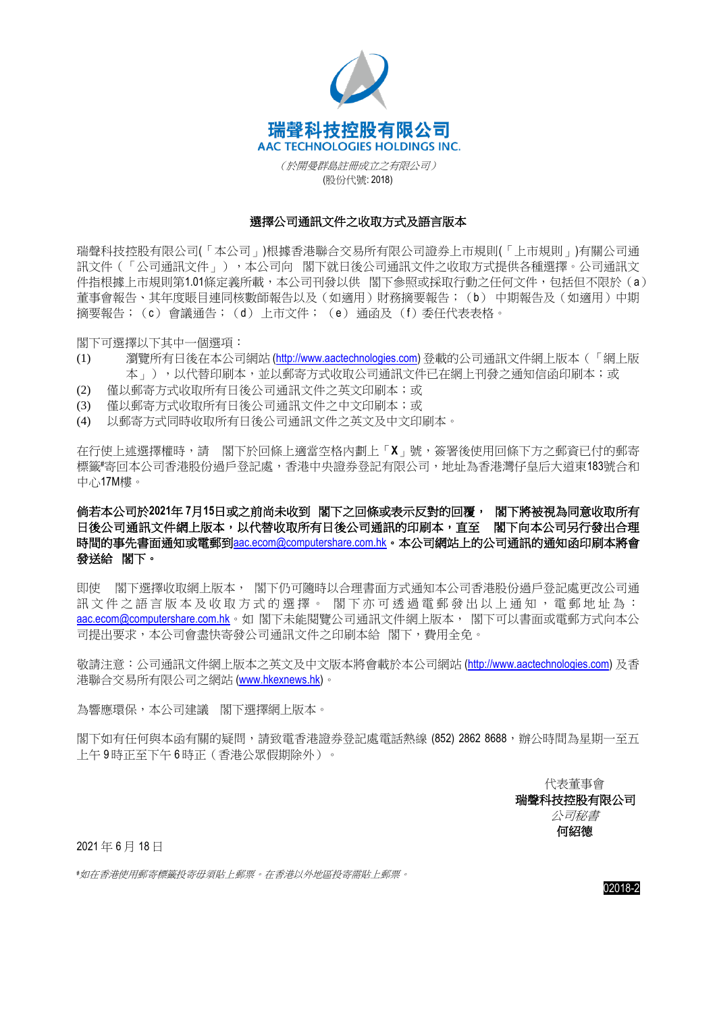

(於開曼群島註冊成立之有限公司) (股份代號: 2018)

## 選擇公司通訊文件之收取方式及語言版本

瑞聲科技控股有限公司(「本公司」)根據香港聯合交易所有限公司證券上市規則(「上市規則」)有關公司通 訊文件(「公司通訊文件」),本公司向 閣下就日後公司通訊文件之收取方式提供各種選擇。公司通訊文 件指根據上市規則第1.01條定義所載,本公司刊發以供 閣下參照或採取行動之任何文件,包括但不限於(a) 董事會報告、其年度賬目連同核數師報告以及(如適用)財務摘要報告;(b) 中期報告及(如適用)中期 摘要報告;(c) 會議通告;(d) 上市文件; (e) 通函及 (f)委任代表表格。

閣下可選擇以下其中一個選項:

- (1) 瀏覽所有日後在本公司網站 [\(http://www.aactechnologies.com\)](http://www.aactechnologies.com/) 登載的公司通訊文件網上版本(「網上版 本」),以代替印刷本,並以郵寄方式收取公司通訊文件已在網上刊發之通知信函印刷本;或
- (2) 僅以郵寄方式收取所有日後公司通訊文件之英文印刷本;或
- (3) 僅以郵寄方式收取所有日後公司通訊文件之中文印刷本;或
- (4) 以郵寄方式同時收取所有日後公司通訊文件之英文及中文印刷本。

在行使上述選擇權時,請 閣下於回條上適當空格內劃上「**X**」號,簽署後使用回條下方之郵資已付的郵寄 標籤#寄回本公司香港股份過戶登記庫,香港中央證券登記有限公司,地址為香港灣仔皇后大道東183號合和 中心17M樓。

倘若本公司於**2021**年 **7**月**15**日或之前尚未收到 閣下之回條或表示反對的回覆, 閣下將被視為同意收取所有 日後公司通訊文件網上版本,以代替收取所有日後公司通訊的印刷本,直至閣下向本公司另行發出合理 時間的事先書面通知或電郵到[aac.ecom@computershare.com.hk](mailto:aac.ecom@computershare.com.hk)。本公司網站上的公司通訊的通知函印刷本將會 發送給閣下。

即使 閣下選擇收取網上版本, 閣下仍可隨時以合理書面方式通知本公司香港股份過戶登記處更改公司通 訊文件之語言版本及收取方式的選擇。 閣下亦可诱過電郵發出以上通知, 雷郵地址為: [aac.ecom@computershare.com.hk](mailto:aac.ecom@computershare.com.hk)。如 閣下未能閱覽公司通訊文件網上版本, 閣下可以書面或電郵方式向本公 司提出要求,本公司會盡快寄發公司通訊文件之印刷本給 閣下,費用全免。

敬請注意:公司通訊文件網上版本之英文及中文版本將會載於本公司網站 [\(http://www.aactechnologies.com\)](http://www.aactechnologies.com/) 及香 港聯合交易所有限公司之網站 [\(www.hkexnews.hk\)](http://www.hkexnews.hk/)。

為響應環保,本公司建議 閣下選擇網上版本。

閣下如有任何與本函有關的疑問,請致電香港證券登記處電話熱線 (852) 2862 8688,辦公時間為星期一至五 上午 9 時正至下午 6 時正(香港公眾假期除外)。

> 代表董事會 瑞聲科技控股有限公司 公司秘書 何紹德

2021 年 6 月 18 日

*#*如在香港使用郵寄標籤投寄毋須貼上郵票。在香港以外地區投寄需貼上郵票。

02018-2